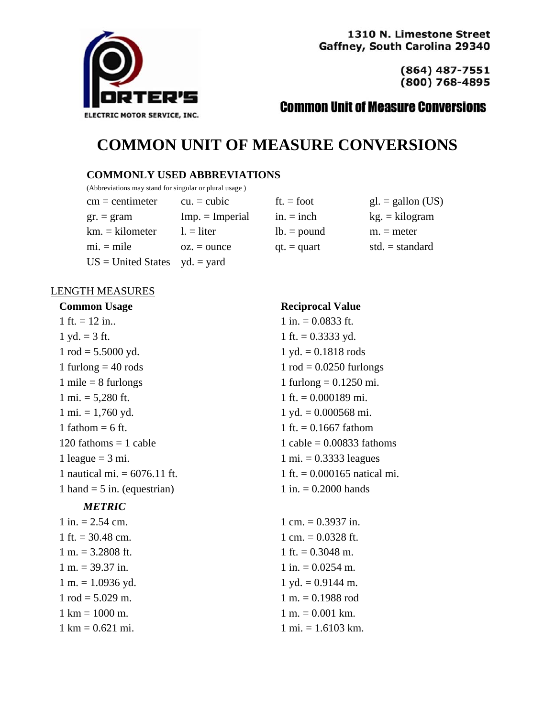

1310 N. Limestone Street Gaffney, South Carolina 29340

> $(864)$  487-7551 (800) 768-4895

# **Common Unit of Measure Conversions**

# **COMMON UNIT OF MEASURE CONVERSIONS**

#### **COMMONLY USED ABBREVIATIONS**

(Abbreviations may stand for singular or plural usage )

 $cm = centimeter$  cu.  $= cubic$  $gr. = gram$  Imp. = Imperial  $km = kilometer$  l. = liter  $mi = mile$   $oz = ounce$  $US = United States \quad yd = yard$ 

| $ft = foot$   | $gl. =$ gallon (US) |
|---------------|---------------------|
| $in. = inch$  | $kg = kilogram$     |
| $lb = pound$  | $m =$ meter         |
| $qt. = quart$ | std. $=$ standard   |

### LENGTH MEASURES

 $1 \text{ ft.} = 12 \text{ in.}$  1 in.  $= 0.0833 \text{ ft.}$  $1 \text{ yd.} = 3 \text{ ft.}$  1 ft. = 0.3333 yd.  $1 \text{ rod} = 5.5000 \text{ yd.}$   $1 \text{ yd.} = 0.1818 \text{ rods}$  $1$  furlong  $= 40$  rods  $1$  rod  $= 0.0250$  furlongs  $1 \text{ mile} = 8 \text{ furlongs}$  1 furlong = 0.1250 mi.  $1 \text{ mi.} = 5,280 \text{ ft.}$  1 ft. = 0.000189 mi.  $1 \text{ mi.} = 1,760 \text{ yd.}$   $1 \text{ yd.} = 0.000568 \text{ mi.}$ 1 fathom = 6 ft.  $1 \text{ ft.} = 0.1667 \text{ f}$  $1 \text{ league} = 3 \text{ mi.}$   $1 \text{ mi.} = 0.3333 \text{ leaves}$  $1 \text{ hand} = 5 \text{ in.}$  (equestrian)  $1 \text{ in.} = 0.2000 \text{ hands}$ 

#### *METRIC*

| $1$ in. $= 2.54$ cm.                |
|-------------------------------------|
| 1 ft. $= 30.48$ cm.                 |
| $1 m. = 3.2808$ ft.                 |
| $1 m. = 39.37 in.$                  |
| $1 m = 1.0936$ yd.                  |
| $1 \text{ rod} = 5.029 \text{ m}$ . |
| $1 \text{ km} = 1000 \text{ m}$ .   |
| $1 \text{ km} = 0.621 \text{ mi}.$  |

#### **Common Usage Reciprocal Value**

 $120$  fathoms  $= 1$  cable  $= 0.00833$  fathoms 1 nautical mi.  $= 6076.11$  ft.  $= 0.000165$  natical mi.

> $1 \text{ cm} = 0.3937 \text{ in}.$ 1 cm.  $= 0.0328$  ft. 1 ft.  $= 0.3048$  m. 1 in.  $= 0.0254$  m.  $1 \text{yd.} = 0.9144 \text{ m.}$  $1 m = 0.1988$  rod  $1 m = 0.001 km.$  $1 \text{ mi.} = 1.6103 \text{ km.}$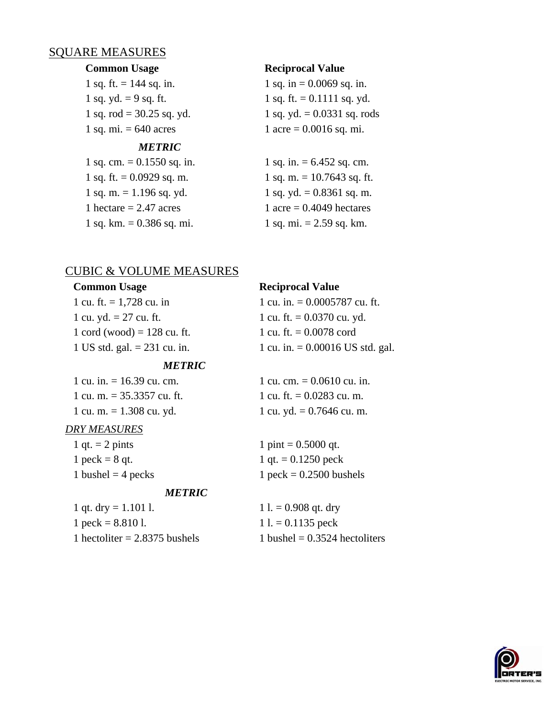### SQUARE MEASURES

1 sq. ft.  $= 144$  sq. in. 1 sq. in  $= 0.0069$  sq. in. 1 sq. mi.  $= 640$  acres 1 acre  $= 0.0016$  sq. mi.

#### *METRIC*

1 sq. ft. =  $0.0929$  sq. m. 1 sq. m. =  $10.7643$  sq. ft. 1 sq. m.  $= 1.196$  sq. yd. 1 sq. yd.  $= 0.8361$  sq. m. 1 hectare  $= 2.47$  acres 1 acre  $= 0.4049$  hectares 1 sq. km.  $= 0.386$  sq. mi.  $= 1$  sq. mi.  $= 2.59$  sq. km.

#### **Common Usage Reciprocal Value**

1 sq. yd. = 9 sq. ft.  $1 \text{ sq. ft} = 0.1111 \text{ sq. yd}$ . 1 sq. rod = 30.25 sq. yd. 1 sq. yd. = 0.0331 sq. rods

1 sq. cm.  $= 0.1550$  sq. in. 1 sq. in.  $= 6.452$  sq. cm.

#### CUBIC & VOLUME MEASURES

| <b>Common Usage</b>            | <b>Reciprocal Value</b>            |
|--------------------------------|------------------------------------|
| 1 cu. ft. $= 1,728$ cu. in     | 1 cu. in. $= 0.0005787$ cu. ft.    |
| 1 cu. yd. $= 27$ cu. ft.       | 1 cu. ft. $= 0.0370$ cu. yd.       |
| 1 cord (wood) = $128$ cu. ft.  | 1 cu. ft. $= 0.0078$ cord          |
| 1 US std. gal. $= 231$ cu. in. | 1 cu. in. $= 0.00016$ US std. gal. |
| <i><b>METRIC</b></i>           |                                    |

| 1 cu. in. $= 16.39$ cu. cm.  |
|------------------------------|
| 1 cu. m. $= 35.3357$ cu. ft. |
| 1 cu. m. $= 1.308$ cu. yd.   |

### *DRY MEASURES*

1 qt. = 2 pints 1 pint =  $0.5000$  qt.  $1 \text{ peck} = 8 \text{ qt.}$   $1 \text{ qt.} = 0.1250 \text{ peck}$ 

#### *METRIC*

1 qt. dry = 1.101 l.  $1 \text{ } 1 = 0.908$  qt. dry  $1 \text{ peck} = 8.810 \text{ l}.$   $1 \text{ l.} = 0.1135 \text{ peck}$ 

1 cu. cm.  $= 0.0610$  cu. in. 1 cu. ft.  $= 0.0283$  cu. m. 1 cu. yd.  $= 0.7646$  cu. m.

 $1 \text{ bushel} = 4 \text{ pecks}$  1 peck = 0.2500 bushels

1 hectoliter  $= 2.8375$  bushels 1 bushel  $= 0.3524$  hectoliters